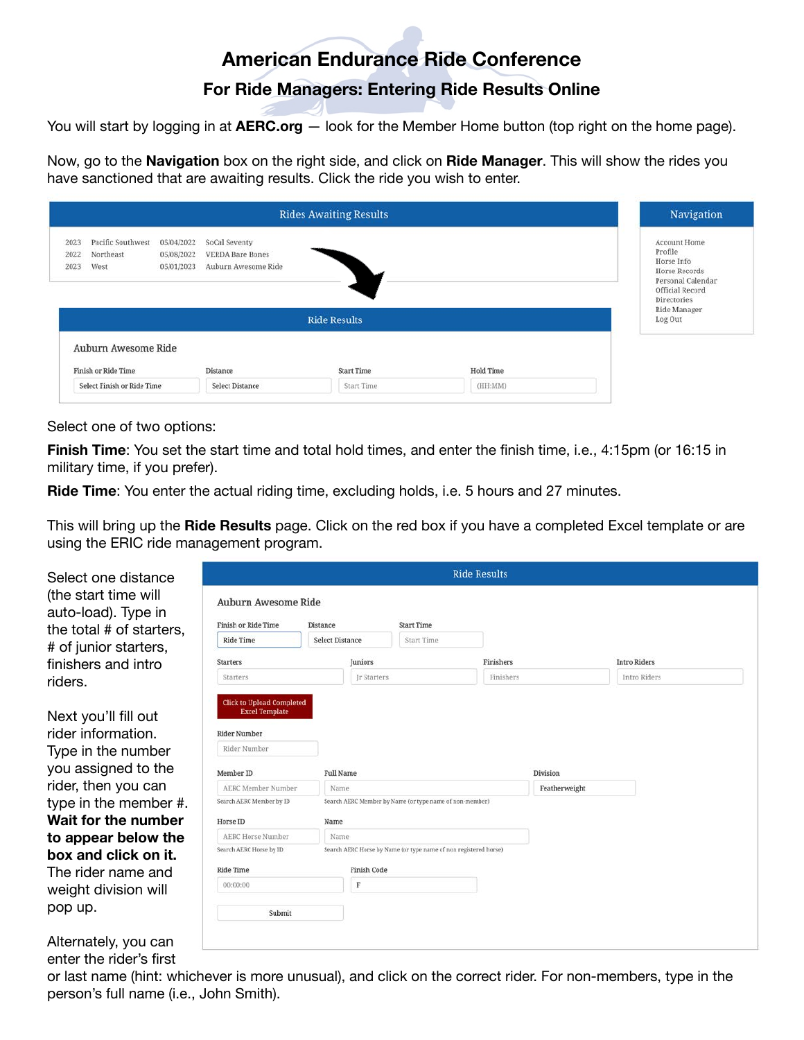# **American Endurance Ride Conference**

## **For Ride Managers: Entering Ride Results Online**

You will start by logging in at **AERC.org** — look for the Member Home button (top right on the home page).

Now, go to the **Navigation** box on the right side, and click on **Ride Manager**. This will show the rides you have sanctioned that are awaiting results. Click the ride you wish to enter.

| <b>Rides Awaiting Results</b>                                  |                                        |                                                                 |                     |                  |                                                                                                               |  |  |  |
|----------------------------------------------------------------|----------------------------------------|-----------------------------------------------------------------|---------------------|------------------|---------------------------------------------------------------------------------------------------------------|--|--|--|
| Pacific Southwest<br>2023<br>Northeast<br>2022<br>West<br>2023 | 05/04/2022<br>05/08/2022<br>05/01/2023 | SoCal Seventy<br><b>VERDA Bare Bones</b><br>Auburn Awesome Ride |                     |                  | Account Home<br>Profile<br>Horse Info<br>Horse Records<br>Personal Calendar<br>Official Record<br>Directories |  |  |  |
|                                                                |                                        |                                                                 | <b>Ride Results</b> |                  | Ride Manager<br>Log Out                                                                                       |  |  |  |
| Auburn Awesome Ride                                            |                                        |                                                                 | <b>Start Time</b>   | <b>Hold Time</b> |                                                                                                               |  |  |  |
| Finish or Ride Time                                            |                                        | Distance                                                        |                     |                  |                                                                                                               |  |  |  |

### Select one of two options:

**Finish Time**: You set the start time and total hold times, and enter the finish time, i.e., 4:15pm (or 16:15 in military time, if you prefer).

**Ride Time**: You enter the actual riding time, excluding holds, i.e. 5 hours and 27 minutes.

This will bring up the **Ride Results** page. Click on the red box if you have a completed Excel template or are using the ERIC ride management program.

| Select one distance                         | <b>Ride Results</b>                                       |                        |                                                                  |           |               |                     |  |  |
|---------------------------------------------|-----------------------------------------------------------|------------------------|------------------------------------------------------------------|-----------|---------------|---------------------|--|--|
| (the start time will<br>auto-load). Type in | Auburn Awesome Ride                                       |                        |                                                                  |           |               |                     |  |  |
| the total # of starters,                    | Finish or Ride Time                                       | Distance               | <b>Start Time</b>                                                |           |               |                     |  |  |
| # of junior starters,                       | <b>Ride Time</b>                                          | <b>Select Distance</b> | Start Time                                                       |           |               |                     |  |  |
| finishers and intro                         | <b>Starters</b>                                           | Juniors                |                                                                  | Finishers |               | <b>Intro Riders</b> |  |  |
| riders.                                     | Starters                                                  |                        | Ir Starters                                                      | Finishers |               | Intro Riders        |  |  |
|                                             | <b>Click to Upload Completed</b><br><b>Excel Template</b> |                        |                                                                  |           |               |                     |  |  |
| Next you'll fill out                        |                                                           |                        |                                                                  |           |               |                     |  |  |
| rider information.                          | <b>Rider Number</b>                                       |                        |                                                                  |           |               |                     |  |  |
| Type in the number                          | Rider Number                                              |                        |                                                                  |           |               |                     |  |  |
| you assigned to the                         | Member ID                                                 | <b>Full Name</b>       |                                                                  |           | Division      |                     |  |  |
| rider, then you can                         | AERC Member Number                                        | Name                   |                                                                  |           | Featherweight |                     |  |  |
| type in the member #.                       | Search AERC Member by ID                                  |                        | Search AERC Member by Name (or type name of non-member)          |           |               |                     |  |  |
| Wait for the number                         | Horse ID                                                  | Name                   |                                                                  |           |               |                     |  |  |
| to appear below the                         | <b>AERC Horse Number</b>                                  | Name                   |                                                                  |           |               |                     |  |  |
| box and click on it.                        | Search AERC Horse by ID                                   |                        | Search AERC Horse by Name (or type name of non registered horse) |           |               |                     |  |  |
| The rider name and                          | <b>Ride Time</b>                                          | Finish Code            |                                                                  |           |               |                     |  |  |
| weight division will                        | 00:00:00                                                  | F                      |                                                                  |           |               |                     |  |  |
| pop up.                                     | Submit                                                    |                        |                                                                  |           |               |                     |  |  |
| Alternately, you can                        |                                                           |                        |                                                                  |           |               |                     |  |  |
| enter the rider's first                     |                                                           |                        |                                                                  |           |               |                     |  |  |

or last name (hint: whichever is more unusual), and click on the correct rider. For non-members, type in the person's full name (i.e., John Smith).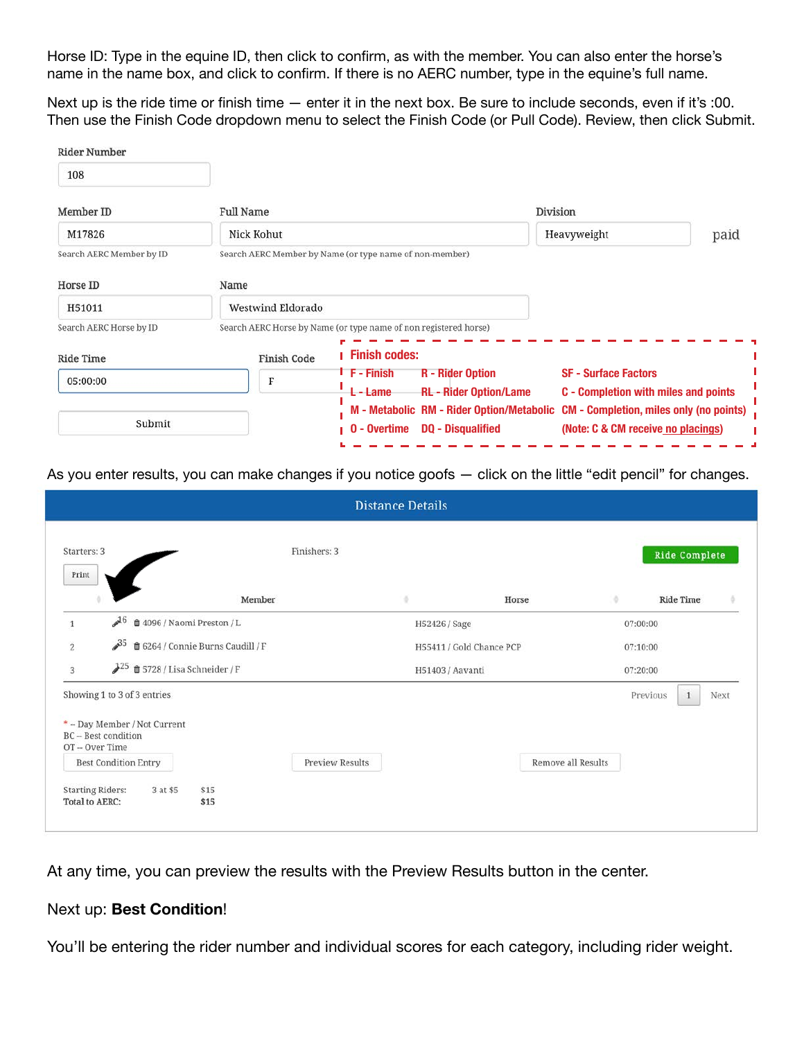Horse ID: Type in the equine ID, then click to confirm, as with the member. You can also enter the horse's name in the name box, and click to confirm. If there is no AERC number, type in the equine's full name.

Next up is the ride time or finish time — enter it in the next box. Be sure to include seconds, even if it's :00. Then use the Finish Code dropdown menu to select the Finish Code (or Pull Code). Review, then click Submit.

| <b>Full Name</b>   |                                                    |                                                                                                                                                                          |                                                                                               |  |
|--------------------|----------------------------------------------------|--------------------------------------------------------------------------------------------------------------------------------------------------------------------------|-----------------------------------------------------------------------------------------------|--|
| Nick Kohut         |                                                    | Heavyweight                                                                                                                                                              | paid                                                                                          |  |
|                    |                                                    |                                                                                                                                                                          |                                                                                               |  |
| Name               |                                                    |                                                                                                                                                                          |                                                                                               |  |
| Westwind Eldorado  |                                                    |                                                                                                                                                                          |                                                                                               |  |
|                    |                                                    |                                                                                                                                                                          |                                                                                               |  |
| <b>Finish Code</b> | <b>Finish codes:</b>                               |                                                                                                                                                                          |                                                                                               |  |
| F                  | <sup>i</sup> F - Finish<br><b>R</b> - Rider Option | <b>SF - Surface Factors</b>                                                                                                                                              |                                                                                               |  |
|                    |                                                    |                                                                                                                                                                          |                                                                                               |  |
|                    | 0 - Overtime<br><b>DQ - Disqualified</b>           | <b>CM - Completion, miles only (no points)</b><br>(Note: C & CM receive no placings)                                                                                     |                                                                                               |  |
|                    |                                                    | Search AERC Member by Name (or type name of non-member)<br>Search AERC Horse by Name (or type name of non registered horse)<br><b>RL</b> - Rider Option/Lame<br>L - Lame | Division<br>C - Completion with miles and points<br>M - Metabolic RM - Rider Option/Metabolic |  |

As you enter results, you can make changes if you notice goofs — click on the little "edit pencil" for changes.

|                                                  |                                                                                    | <b>Distance Details</b>                      |                                  |
|--------------------------------------------------|------------------------------------------------------------------------------------|----------------------------------------------|----------------------------------|
| Starters: 3<br>Print                             |                                                                                    | Finishers: 3                                 | <b>Ride Complete</b>             |
|                                                  | Member                                                                             | ÷<br>Horse                                   | O.<br><b>Ride Time</b>           |
| $\mathbf{1}$                                     | $\mathcal{A}^6$<br>■ 4096 / Naomi Preston / L                                      | H52426 / Sage                                | 07:00:00                         |
| $\overline{2}$                                   | $\mathscr{P}^{35}$<br><b>■ 6264 / Connie Burns Caudill / F</b>                     | H55411 / Gold Chance PCP                     | 07:10:00                         |
| 3                                                | $J^{25}$ $\oplus$ 5728 / Lisa Schneider / F                                        | H51403 / Aavanti                             | 07:20:00                         |
|                                                  | Showing 1 to 3 of 3 entries                                                        |                                              | Previous<br>Next<br>$\mathbf{1}$ |
| OT-Over Time                                     | * - Day Member / Not Current<br>BC - Best condition<br><b>Best Condition Entry</b> | Remove all Results<br><b>Preview Results</b> |                                  |
| <b>Starting Riders:</b><br><b>Total to AERC:</b> | \$15<br>3 at \$5<br>\$15                                                           |                                              |                                  |

At any time, you can preview the results with the Preview Results button in the center.

### Next up: **Best Condition**!

You'll be entering the rider number and individual scores for each category, including rider weight.